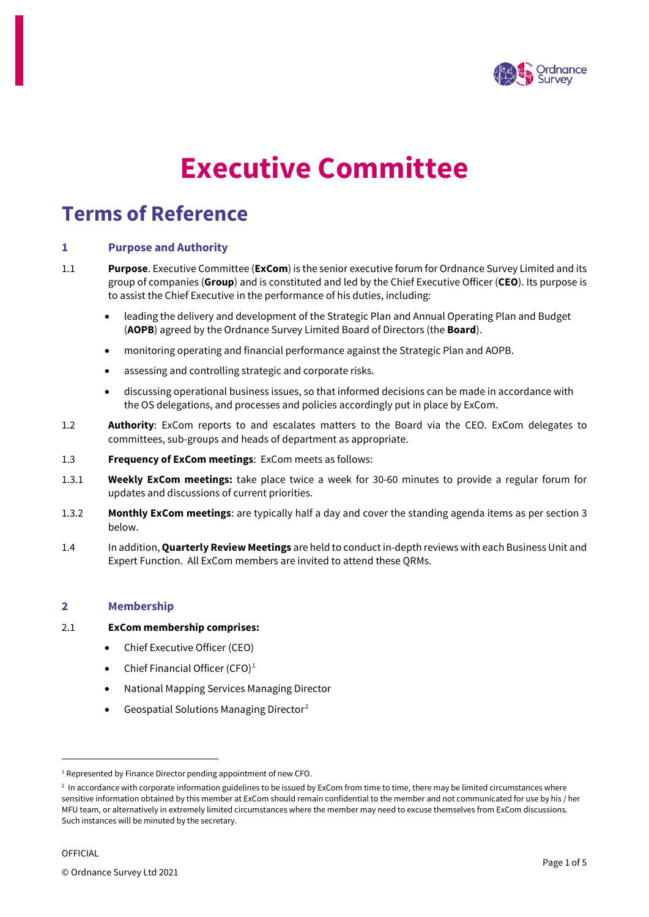

# **Executive Committee**

# **Terms of Reference**

# **1 Purpose and Authority**

- 1.1 **Purpose**. Executive Committee (**ExCom**) is the senior executive forum for Ordnance Survey Limited and its group of companies (**Group**) and is constituted and led by the Chief Executive Officer (**CEO**). Its purpose is to assist the Chief Executive in the performance of his duties, including:
	- leading the delivery and development of the Strategic Plan and Annual Operating Plan and Budget (**AOPB**) agreed by the Ordnance Survey Limited Board of Directors (the **Board**).
	- monitoring operating and financial performance against the Strategic Plan and AOPB.
	- assessing and controlling strategic and corporate risks.
	- discussing operational business issues, so that informed decisions can be made in accordance with the OS delegations, and processes and policies accordingly put in place by ExCom.
- 1.2 **Authority**: ExCom reports to and escalates matters to the Board via the CEO. ExCom delegates to committees, sub-groups and heads of department as appropriate.
- 1.3 **Frequency of ExCom meetings**: ExCom meets as follows:
- 1.3.1 **Weekly ExCom meetings:** take place twice a week for 30-60 minutes to provide a regular forum for updates and discussions of current priorities.
- 1.3.2 **Monthly ExCom meetings**: are typically half a day and cover the standing agenda items as per section 3 below.
- 1.4 In addition, **Quarterly Review Meetings** are held to conduct in-depth reviews with each Business Unit and Expert Function. All ExCom members are invited to attend these QRMs.

# **2 Membership**

## 2.1 **ExCom membership comprises:**

- Chief Executive Officer (CEO)
- Chief Financial Officer (CFO)<sup>[1](#page-0-0)</sup>
- National Mapping Services Managing Director
- Geospatial Solutions Managing Director<sup>[2](#page-0-1)</sup>

<span id="page-0-0"></span><sup>&</sup>lt;sup>1</sup> Represented by Finance Director pending appointment of new CFO.

<span id="page-0-1"></span><sup>&</sup>lt;sup>2</sup> In accordance with corporate information guidelines to be issued by ExCom from time to time, there may be limited circumstances where sensitive information obtained by this member at ExCom should remain confidential to the member and not communicated for use by his / her MFU team, or alternatively in extremely limited circumstances where the member may need to excuse themselves from ExCom discussions. Such instances will be minuted by the secretary.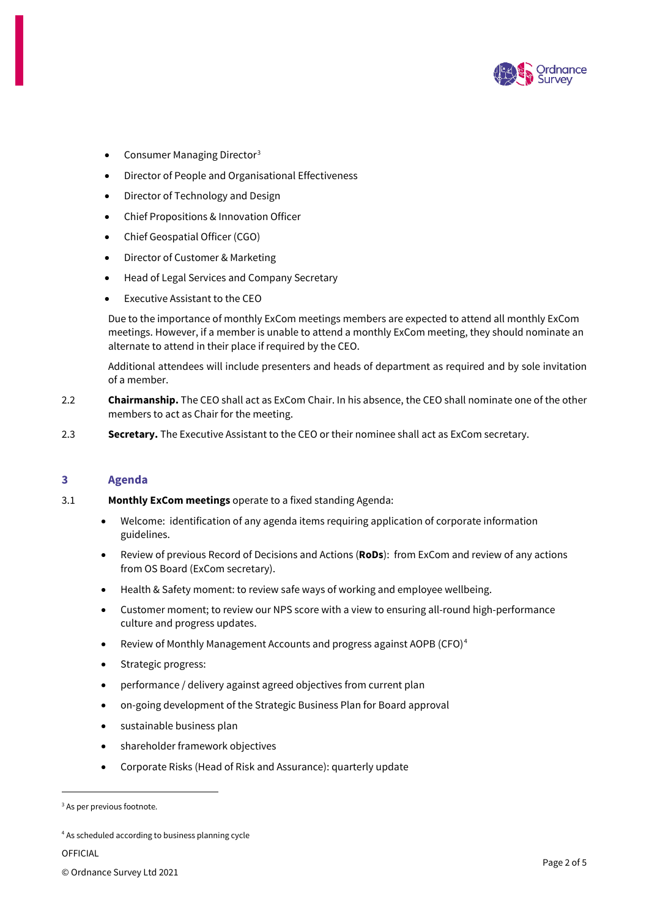

- Consumer Managing Director[3](#page-1-0)
- Director of People and Organisational Effectiveness
- Director of Technology and Design
- Chief Propositions & Innovation Officer
- Chief Geospatial Officer (CGO)
- Director of Customer & Marketing
- Head of Legal Services and Company Secretary
- Executive Assistant to the CEO

Due to the importance of monthly ExCom meetings members are expected to attend all monthly ExCom meetings. However, if a member is unable to attend a monthly ExCom meeting, they should nominate an alternate to attend in their place if required by the CEO.

Additional attendees will include presenters and heads of department as required and by sole invitation of a member.

- 2.2 **Chairmanship.** The CEO shall act as ExCom Chair. In his absence, the CEO shall nominate one of the other members to act as Chair for the meeting.
- 2.3 **Secretary.** The Executive Assistant to the CEO or their nominee shall act as ExCom secretary.

## **3 Agenda**

- 3.1 **Monthly ExCom meetings** operate to a fixed standing Agenda:
	- Welcome: identification of any agenda items requiring application of corporate information guidelines.
	- Review of previous Record of Decisions and Actions (**RoDs**): from ExCom and review of any actions from OS Board (ExCom secretary).
	- Health & Safety moment: to review safe ways of working and employee wellbeing.
	- Customer moment; to review our NPS score with a view to ensuring all-round high-performance culture and progress updates.
	- Review of Monthly Management Accounts and progress against AOPB (CFO)[4](#page-1-1)
	- Strategic progress:
	- performance / delivery against agreed objectives from current plan
	- on-going development of the Strategic Business Plan for Board approval
	- sustainable business plan
	- shareholder framework objectives
	- Corporate Risks (Head of Risk and Assurance): quarterly update

OFFICIAL

<span id="page-1-0"></span><sup>&</sup>lt;sup>3</sup> As per previous footnote.

<span id="page-1-1"></span><sup>4</sup> As scheduled according to business planning cycle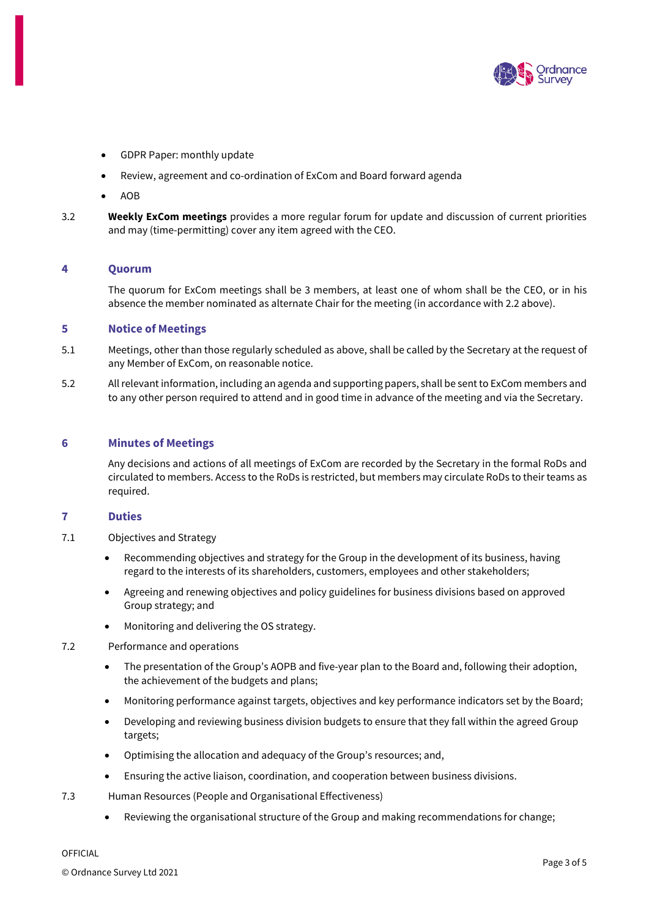

- GDPR Paper: monthly update
- Review, agreement and co-ordination of ExCom and Board forward agenda
- AOB
- 3.2 **Weekly ExCom meetings** provides a more regular forum for update and discussion of current priorities and may (time-permitting) cover any item agreed with the CEO.

## **4 Quorum**

The quorum for ExCom meetings shall be 3 members, at least one of whom shall be the CEO, or in his absence the member nominated as alternate Chair for the meeting (in accordance with 2.2 above).

# **5 Notice of Meetings**

- 5.1 Meetings, other than those regularly scheduled as above, shall be called by the Secretary at the request of any Member of ExCom, on reasonable notice.
- 5.2 All relevant information, including an agenda and supporting papers, shall be sent to ExCom members and to any other person required to attend and in good time in advance of the meeting and via the Secretary.

# **6 Minutes of Meetings**

Any decisions and actions of all meetings of ExCom are recorded by the Secretary in the formal RoDs and circulated to members. Access to the RoDs is restricted, but members may circulate RoDs to their teams as required.

## **7 Duties**

- 7.1 Objectives and Strategy
	- Recommending objectives and strategy for the Group in the development of its business, having regard to the interests of its shareholders, customers, employees and other stakeholders;
	- Agreeing and renewing objectives and policy guidelines for business divisions based on approved Group strategy; and
	- Monitoring and delivering the OS strategy.
- 7.2 Performance and operations
	- The presentation of the Group's AOPB and five-year plan to the Board and, following their adoption, the achievement of the budgets and plans;
	- Monitoring performance against targets, objectives and key performance indicators set by the Board;
	- Developing and reviewing business division budgets to ensure that they fall within the agreed Group targets;
	- Optimising the allocation and adequacy of the Group's resources; and,
	- Ensuring the active liaison, coordination, and cooperation between business divisions.
- 7.3 Human Resources (People and Organisational Effectiveness)
	- Reviewing the organisational structure of the Group and making recommendations for change;

OFFICIAL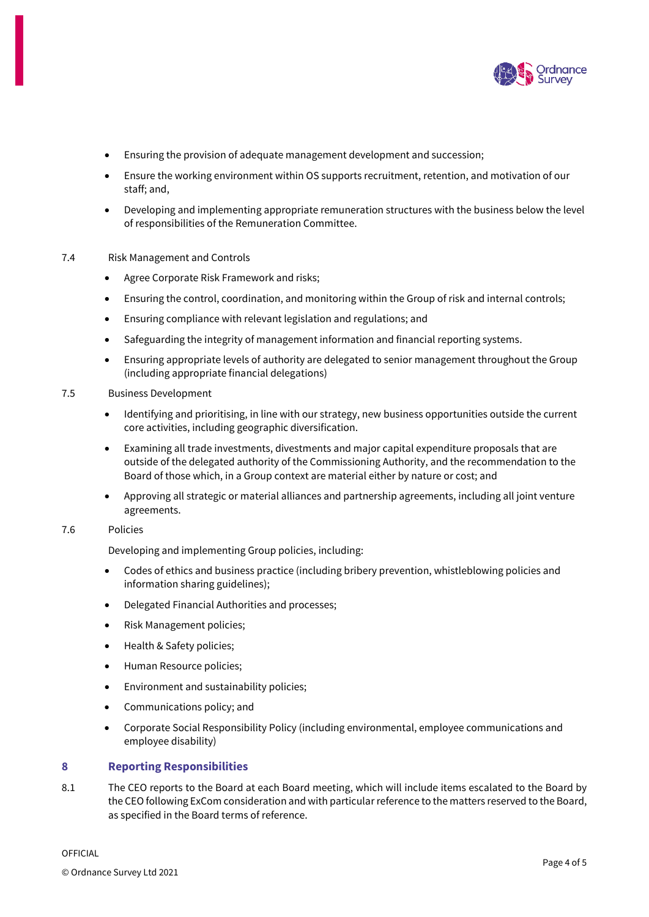

- Ensuring the provision of adequate management development and succession;
- Ensure the working environment within OS supports recruitment, retention, and motivation of our staff; and,
- Developing and implementing appropriate remuneration structures with the business below the level of responsibilities of the Remuneration Committee.
- 7.4 Risk Management and Controls
	- Agree Corporate Risk Framework and risks;
	- Ensuring the control, coordination, and monitoring within the Group of risk and internal controls;
	- Ensuring compliance with relevant legislation and regulations; and
	- Safeguarding the integrity of management information and financial reporting systems.
	- Ensuring appropriate levels of authority are delegated to senior management throughout the Group (including appropriate financial delegations)
- 7.5 Business Development
	- Identifying and prioritising, in line with our strategy, new business opportunities outside the current core activities, including geographic diversification.
	- Examining all trade investments, divestments and major capital expenditure proposals that are outside of the delegated authority of the Commissioning Authority, and the recommendation to the Board of those which, in a Group context are material either by nature or cost; and
	- Approving all strategic or material alliances and partnership agreements, including all joint venture agreements.

# 7.6 Policies

Developing and implementing Group policies, including:

- Codes of ethics and business practice (including bribery prevention, whistleblowing policies and information sharing guidelines);
- Delegated Financial Authorities and processes;
- Risk Management policies;
- Health & Safety policies;
- Human Resource policies;
- Environment and sustainability policies;
- Communications policy; and
- Corporate Social Responsibility Policy (including environmental, employee communications and employee disability)

## **8 Reporting Responsibilities**

8.1 The CEO reports to the Board at each Board meeting, which will include items escalated to the Board by the CEO following ExCom consideration and with particular reference to the matters reserved to the Board, as specified in the Board terms of reference.